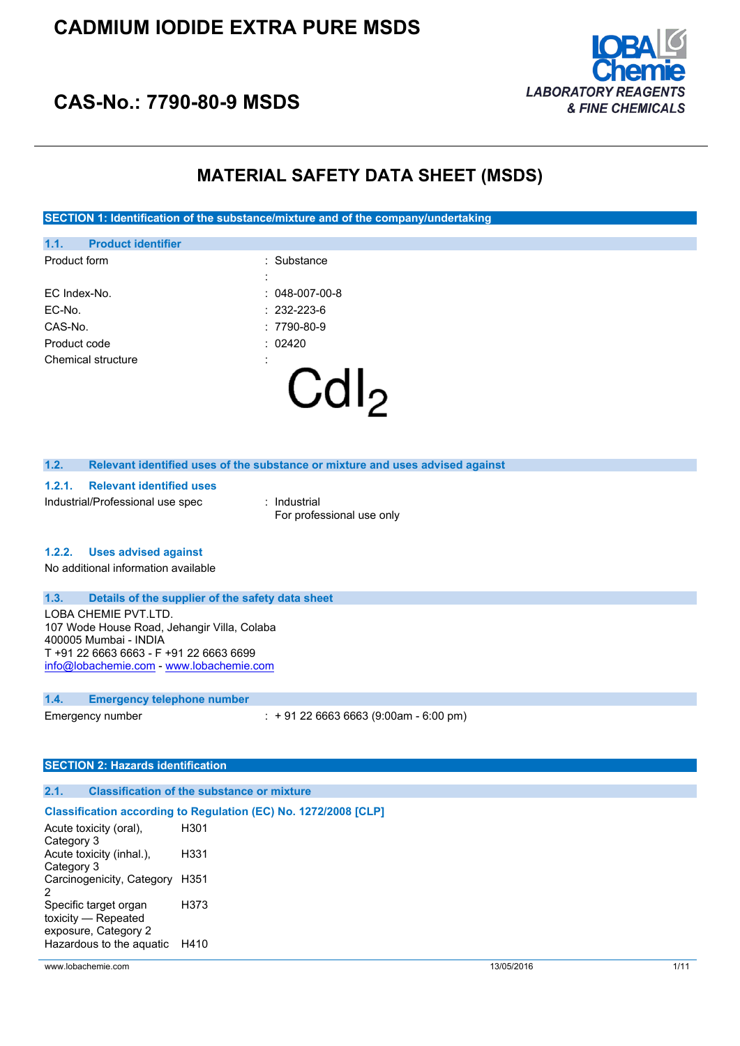

# **CAS-No.: 7790-80-9 MSDS**

# **MATERIAL SAFETY DATA SHEET (MSDS)**

**SECTION 1: Identification of the substance/mixture and of the company/undertaking**

| Product code<br>Chemical structure | :                       |
|------------------------------------|-------------------------|
| CAS-No.                            | $:7790-80-9$<br>: 02420 |
| EC-No.                             | $: 232 - 223 - 6$       |
| EC Index-No.                       | $: 048-007-00-8$        |
|                                    | :                       |
| Product form                       | : Substance             |
| 1.1.<br><b>Product identifier</b>  |                         |

#### **1.2. Relevant identified uses of the substance or mixture and uses advised against**

#### **1.2.1. Relevant identified uses**

Industrial/Professional use spec : Industrial

For professional use only

### **1.2.2. Uses advised against**

No additional information available

#### **1.3. Details of the supplier of the safety data sheet**

LOBA CHEMIE PVT.LTD. 107 Wode House Road, Jehangir Villa, Colaba 400005 Mumbai - INDIA T +91 22 6663 6663 - F +91 22 6663 6699 [info@lobachemie.com](mailto:info@lobachemie.com) - <www.lobachemie.com>

### **1.4. Emergency telephone number**

Emergency number : + 91 22 6663 6663 (9:00am - 6:00 pm)

### **SECTION 2: Hazards identification**

#### **2.1. Classification of the substance or mixture**

### **Classification according to Regulation (EC) No. 1272/2008 [CLP]**

| Acute toxicity (oral),         | H301 |
|--------------------------------|------|
| Category 3                     |      |
| Acute toxicity (inhal.),       | H331 |
| Category 3                     |      |
| Carcinogenicity, Category H351 |      |
| 2                              |      |
| Specific target organ          | H373 |
| toxicity - Repeated            |      |
| exposure, Category 2           |      |
| Hazardous to the aquatic       | H410 |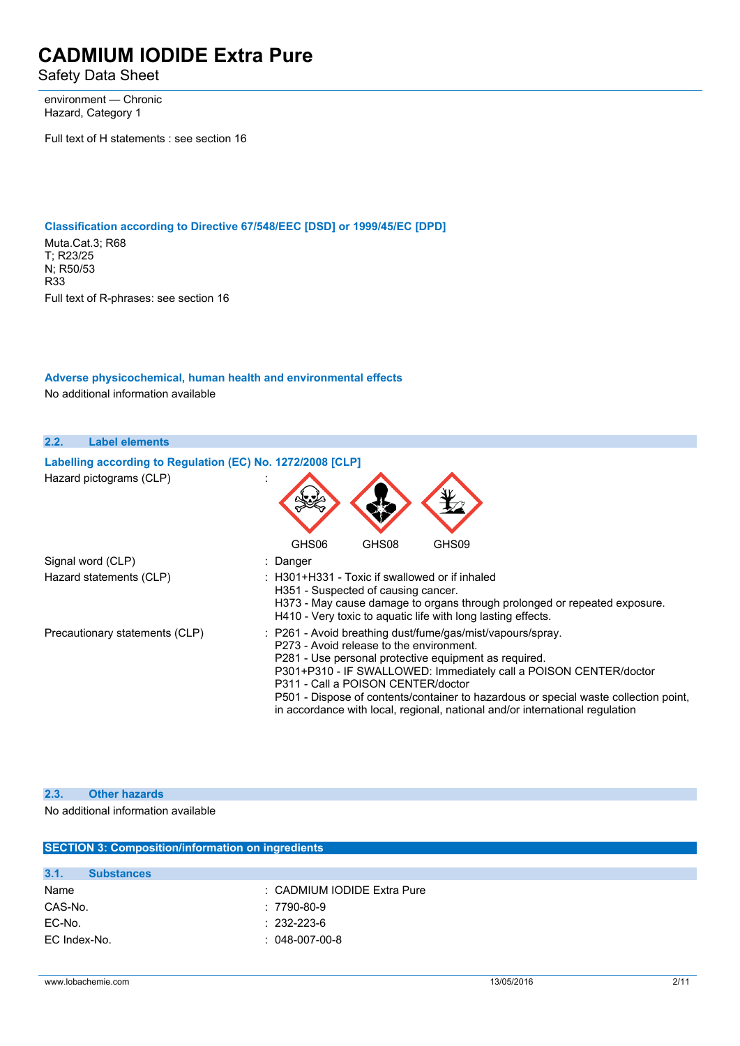Safety Data Sheet

environment — Chronic Hazard, Category 1

Full text of H statements : see section 16

**Classification according to Directive 67/548/EEC [DSD] or 1999/45/EC [DPD]** Muta.Cat.3; R68 T; R23/25 N; R50/53 R33 Full text of R-phrases: see section 16

### **Adverse physicochemical, human health and environmental effects** No additional information available

| 2.2.<br><b>Label elements</b>                              |                                                                                                                                                                                                                                                                                                                                                                                                                                                    |
|------------------------------------------------------------|----------------------------------------------------------------------------------------------------------------------------------------------------------------------------------------------------------------------------------------------------------------------------------------------------------------------------------------------------------------------------------------------------------------------------------------------------|
| Labelling according to Regulation (EC) No. 1272/2008 [CLP] |                                                                                                                                                                                                                                                                                                                                                                                                                                                    |
| Hazard pictograms (CLP)                                    |                                                                                                                                                                                                                                                                                                                                                                                                                                                    |
|                                                            | GHS08<br>GHS06<br>GHS09                                                                                                                                                                                                                                                                                                                                                                                                                            |
| Signal word (CLP)                                          | : Danger                                                                                                                                                                                                                                                                                                                                                                                                                                           |
| Hazard statements (CLP)                                    | $\pm$ H301+H331 - Toxic if swallowed or if inhaled<br>H351 - Suspected of causing cancer.<br>H373 - May cause damage to organs through prolonged or repeated exposure.<br>H410 - Very toxic to aquatic life with long lasting effects.                                                                                                                                                                                                             |
| Precautionary statements (CLP)                             | : P261 - Avoid breathing dust/fume/gas/mist/vapours/spray.<br>P273 - Avoid release to the environment.<br>P281 - Use personal protective equipment as required.<br>P301+P310 - IF SWALLOWED: Immediately call a POISON CENTER/doctor<br>P311 - Call a POISON CENTER/doctor<br>P501 - Dispose of contents/container to hazardous or special waste collection point,<br>in accordance with local, regional, national and/or international regulation |

#### **2.3. Other hazards**

No additional information available

| <b>SECTION 3: Composition/information on ingredients</b> |                             |  |
|----------------------------------------------------------|-----------------------------|--|
|                                                          |                             |  |
| 3.1.<br><b>Substances</b>                                |                             |  |
| Name                                                     | : CADMIUM IODIDE Extra Pure |  |
| CAS-No.                                                  | : 7790-80-9                 |  |
| EC-No.                                                   | $: 232 - 223 - 6$           |  |
| EC Index-No.                                             | $: 048-007-00-8$            |  |
|                                                          |                             |  |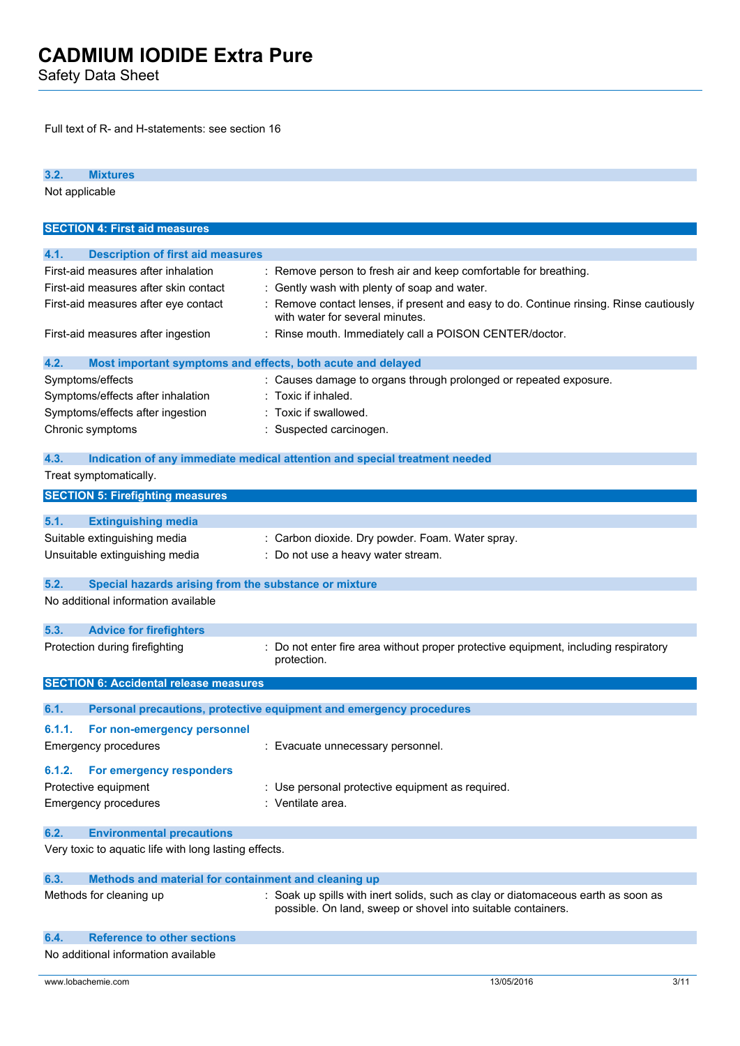Safety Data Sheet

Full text of R- and H-statements: see section 16

**3.2. Mixtures** Not applicable **SECTION 4: First aid measures 4.1. Description of first aid measures** First-aid measures after inhalation : Remove person to fresh air and keep comfortable for breathing. First-aid measures after skin contact : Gently wash with plenty of soap and water. First-aid measures after eye contact : Remove contact lenses, if present and easy to do. Continue rinsing. Rinse cautiously with water for several minutes. First-aid measures after ingestion : Rinse mouth. Immediately call a POISON CENTER/doctor. **4.2. Most important symptoms and effects, both acute and delayed** Symptoms/effects : Causes damage to organs through prolonged or repeated exposure. Symptoms/effects after inhalation : Toxic if inhaled. Symptoms/effects after ingestion : Toxic if swallowed. Chronic symptoms : Suspected carcinogen. **4.3. Indication of any immediate medical attention and special treatment needed** Treat symptomatically. **SECTION 5: Firefighting measures 5.1. Extinguishing media** Suitable extinguishing media : Carbon dioxide. Dry powder. Foam. Water spray. Unsuitable extinguishing media : Do not use a heavy water stream. **5.2. Special hazards arising from the substance or mixture** No additional information available **5.3. Advice for firefighters** Protection during firefighting : Do not enter fire area without proper protective equipment, including respiratory protection. **SECTION 6: Accidental release measures 6.1. Personal precautions, protective equipment and emergency procedures 6.1.1. For non-emergency personnel** Emergency procedures : Evacuate unnecessary personnel. **6.1.2. For emergency responders** Protective equipment : Use personal protective equipment as required. Emergency procedures : Ventilate area. **6.2. Environmental precautions** Very toxic to aquatic life with long lasting effects. **6.3. Methods and material for containment and cleaning up** Methods for cleaning up : Soak up spills with inert solids, such as clay or diatomaceous earth as soon as possible. On land, sweep or shovel into suitable containers.

| 6.4. | <b>Reference to other sections</b>  |
|------|-------------------------------------|
|      | No additional information available |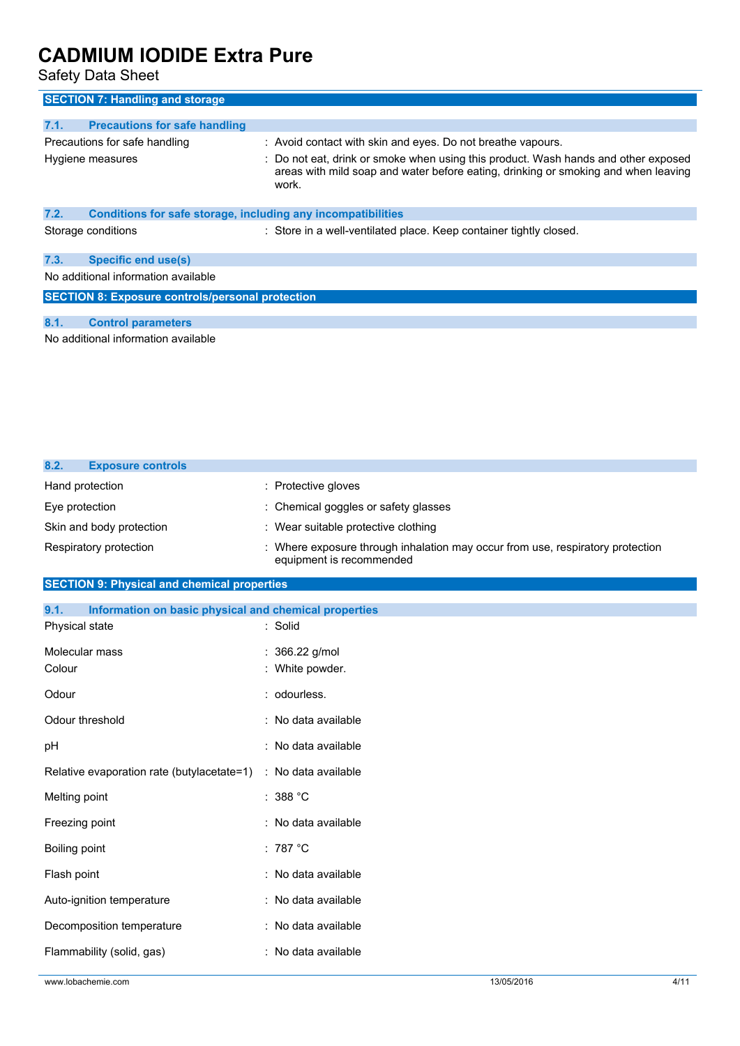Safety Data Sheet

| <b>SECTION 7: Handling and storage</b>                               |                                                                                                                                                                                   |
|----------------------------------------------------------------------|-----------------------------------------------------------------------------------------------------------------------------------------------------------------------------------|
|                                                                      |                                                                                                                                                                                   |
| 7.1.<br><b>Precautions for safe handling</b>                         |                                                                                                                                                                                   |
| Precautions for safe handling                                        | : Avoid contact with skin and eyes. Do not breathe vapours.                                                                                                                       |
| Hygiene measures                                                     | : Do not eat, drink or smoke when using this product. Wash hands and other exposed<br>areas with mild soap and water before eating, drinking or smoking and when leaving<br>work. |
| 7.2.<br>Conditions for safe storage, including any incompatibilities |                                                                                                                                                                                   |
| Storage conditions                                                   | : Store in a well-ventilated place. Keep container tightly closed.                                                                                                                |
| 7.3.<br><b>Specific end use(s)</b>                                   |                                                                                                                                                                                   |
| No additional information available                                  |                                                                                                                                                                                   |
| <b>SECTION 8: Exposure controls/personal protection</b>              |                                                                                                                                                                                   |
|                                                                      |                                                                                                                                                                                   |
| 8.1.<br><b>Control parameters</b>                                    |                                                                                                                                                                                   |
| No additional information available                                  |                                                                                                                                                                                   |

| 8.2.            | <b>Exposure controls</b> |                                                                                                            |
|-----------------|--------------------------|------------------------------------------------------------------------------------------------------------|
| Hand protection |                          | : Protective gloves                                                                                        |
| Eye protection  |                          | : Chemical goggles or safety glasses                                                                       |
|                 | Skin and body protection | : Wear suitable protective clothing                                                                        |
|                 | Respiratory protection   | : Where exposure through inhalation may occur from use, respiratory protection<br>equipment is recommended |

# **SECTION 9: Physical and chemical properties**

| 9.1.<br>Information on basic physical and chemical properties |                     |  |
|---------------------------------------------------------------|---------------------|--|
| Physical state                                                | : Solid             |  |
| Molecular mass                                                | : 366.22 g/mol      |  |
| Colour                                                        | : White powder.     |  |
| Odour                                                         | : odourless.        |  |
| Odour threshold                                               | : No data available |  |
| pH                                                            | : No data available |  |
| Relative evaporation rate (butylacetate=1)                    | : No data available |  |
| Melting point                                                 | : $388 °C$          |  |
| Freezing point                                                | : No data available |  |
| Boiling point                                                 | : 787 $^{\circ}$ C  |  |
| Flash point                                                   | : No data available |  |
| Auto-ignition temperature                                     | : No data available |  |
| Decomposition temperature                                     | : No data available |  |
| Flammability (solid, gas)                                     | : No data available |  |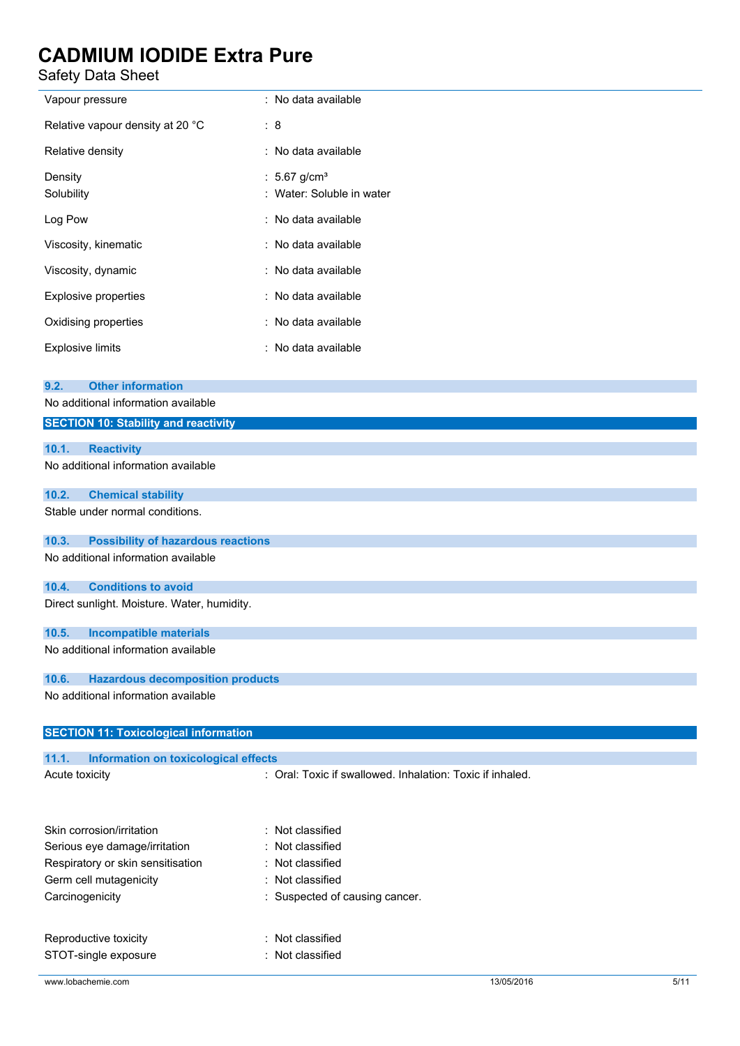Safety Data Sheet l.

| Safety Data Sheet                                     |                                                           |  |
|-------------------------------------------------------|-----------------------------------------------------------|--|
| Vapour pressure                                       | : No data available                                       |  |
| Relative vapour density at 20 °C                      | : 8                                                       |  |
| Relative density                                      | : No data available                                       |  |
| Density                                               | : $5.67$ g/cm <sup>3</sup>                                |  |
| Solubility                                            | : Water: Soluble in water                                 |  |
| Log Pow                                               | : No data available                                       |  |
| Viscosity, kinematic                                  | : No data available                                       |  |
| Viscosity, dynamic                                    | : No data available                                       |  |
| <b>Explosive properties</b>                           | : No data available                                       |  |
| Oxidising properties                                  | : No data available                                       |  |
| <b>Explosive limits</b>                               | : No data available                                       |  |
|                                                       |                                                           |  |
| <b>Other information</b><br>9.2.                      |                                                           |  |
| No additional information available                   |                                                           |  |
| <b>SECTION 10: Stability and reactivity</b>           |                                                           |  |
| 10.1.<br><b>Reactivity</b>                            |                                                           |  |
| No additional information available                   |                                                           |  |
| 10.2.<br><b>Chemical stability</b>                    |                                                           |  |
| Stable under normal conditions.                       |                                                           |  |
| 10.3.<br><b>Possibility of hazardous reactions</b>    |                                                           |  |
| No additional information available                   |                                                           |  |
| 10.4.<br><b>Conditions to avoid</b>                   |                                                           |  |
| Direct sunlight. Moisture. Water, humidity.           |                                                           |  |
| <b>Incompatible materials</b><br>10.5.                |                                                           |  |
| No additional information available                   |                                                           |  |
| 10.6.<br><b>Hazardous decomposition products</b>      |                                                           |  |
| No additional information available                   |                                                           |  |
|                                                       |                                                           |  |
| <b>SECTION 11: Toxicological information</b>          |                                                           |  |
| 11.1.<br>Information on toxicological effects         |                                                           |  |
| Acute toxicity                                        | : Oral: Toxic if swallowed. Inhalation: Toxic if inhaled. |  |
|                                                       |                                                           |  |
| Skin corrosion/irritation                             | : Not classified                                          |  |
| Not classified<br>Serious eye damage/irritation       |                                                           |  |
| : Not classified<br>Respiratory or skin sensitisation |                                                           |  |
| Germ cell mutagenicity<br>Not classified<br>÷         |                                                           |  |
| Carcinogenicity                                       | Suspected of causing cancer.                              |  |
| Reproductive toxicity                                 | : Not classified                                          |  |
|                                                       |                                                           |  |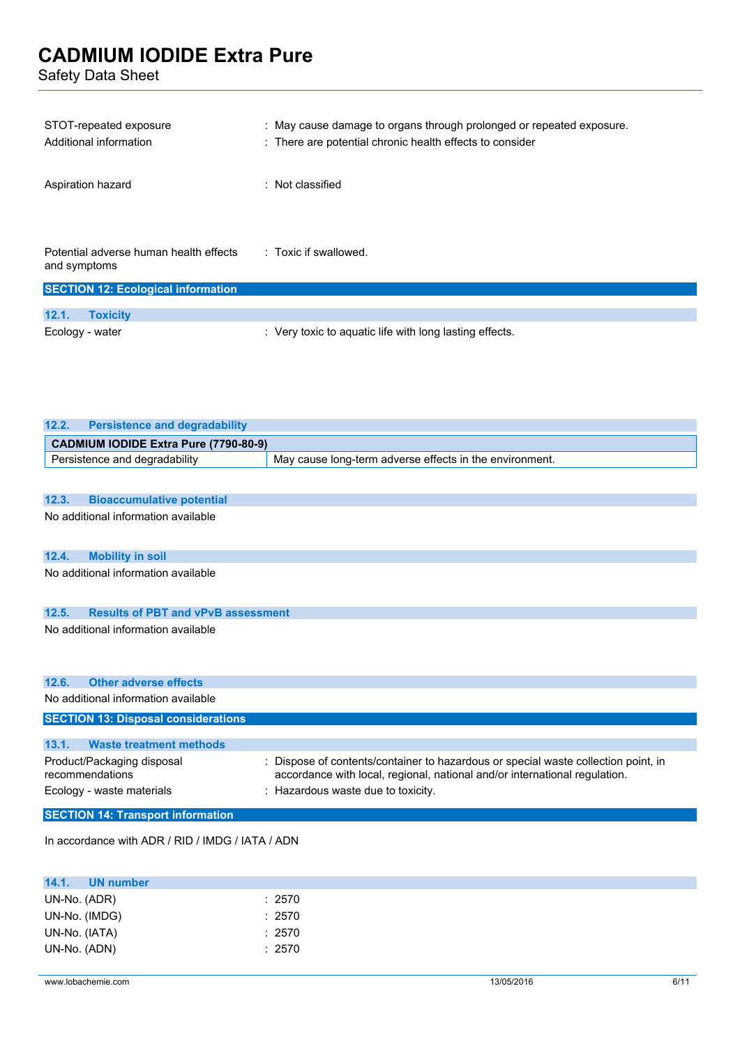Safety Data Sheet

**12.1. Toxicity**

| STOT-repeated exposure<br>Additional information                                                    | : May cause damage to organs through prolonged or repeated exposure.<br>: There are potential chronic health effects to consider |
|-----------------------------------------------------------------------------------------------------|----------------------------------------------------------------------------------------------------------------------------------|
| Aspiration hazard                                                                                   | : Not classified                                                                                                                 |
| Potential adverse human health effects<br>and symptoms<br><b>SECTION 12: Ecological information</b> | : Toxic if swallowed.                                                                                                            |

| 12.2.                                 | <b>Persistence and degradability</b> |                                                         |
|---------------------------------------|--------------------------------------|---------------------------------------------------------|
| CADMIUM IODIDE Extra Pure (7790-80-9) |                                      |                                                         |
|                                       | Persistence and degradability        | May cause long-term adverse effects in the environment. |

Ecology - water **interpretent in the Cology - water**  $\cdot$  Very toxic to aquatic life with long lasting effects.

# **12.3. Bioaccumulative potential**

No additional information available

### **12.4. Mobility in soil**

No additional information available

### **12.5. Results of PBT and vPvB assessment**

No additional information available

| 12.6. Other adverse effects                   |                                                                                                                                                                  |
|-----------------------------------------------|------------------------------------------------------------------------------------------------------------------------------------------------------------------|
| No additional information available           |                                                                                                                                                                  |
| <b>SECTION 13: Disposal considerations</b>    |                                                                                                                                                                  |
|                                               |                                                                                                                                                                  |
| 13.1.<br><b>Waste treatment methods</b>       |                                                                                                                                                                  |
| Product/Packaging disposal<br>recommendations | : Dispose of contents/container to hazardous or special waste collection point, in<br>accordance with local, regional, national and/or international regulation. |
| Ecology - waste materials                     | : Hazardous waste due to toxicity.                                                                                                                               |
| <b>SECTION 14: Transport information</b>      |                                                                                                                                                                  |

In accordance with ADR / RID / IMDG / IATA / ADN

| 14.1.         | <b>UN</b> number |        |
|---------------|------------------|--------|
| UN-No. (ADR)  |                  | : 2570 |
| UN-No. (IMDG) |                  | : 2570 |
| UN-No. (IATA) |                  | : 2570 |
| UN-No. (ADN)  |                  | : 2570 |
|               |                  |        |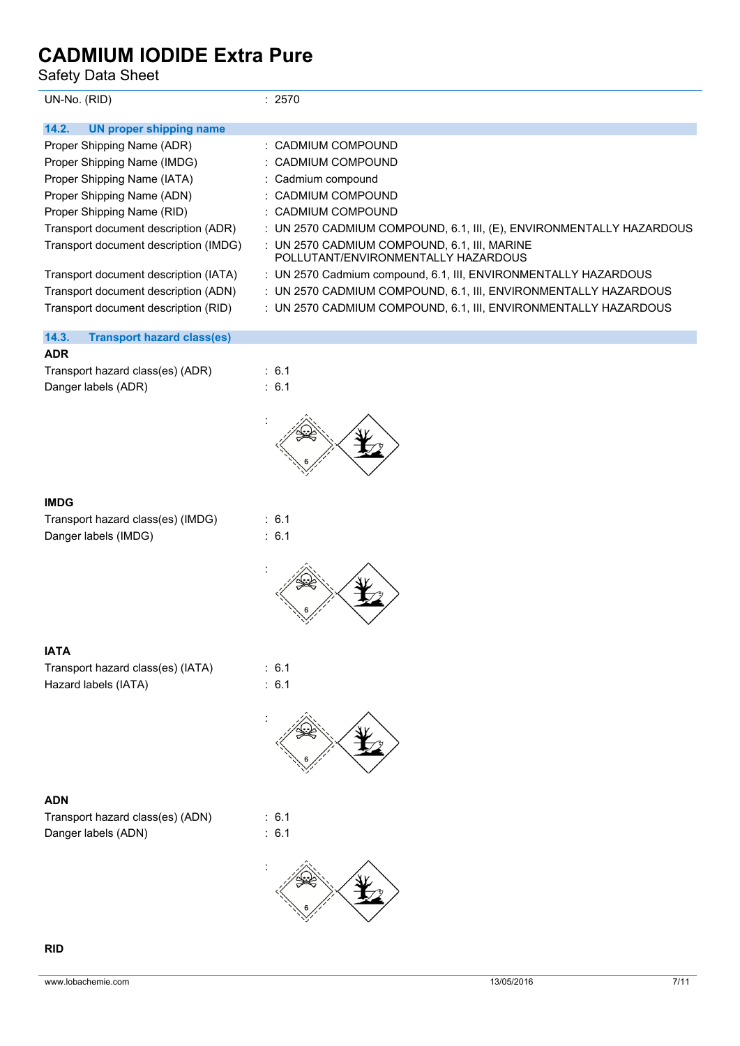Safety Data Sheet

| UN-No. (RID)                               | : 2570                                                                                 |  |  |  |
|--------------------------------------------|----------------------------------------------------------------------------------------|--|--|--|
| <b>UN proper shipping name</b><br>14.2.    |                                                                                        |  |  |  |
| Proper Shipping Name (ADR)                 | : CADMIUM COMPOUND                                                                     |  |  |  |
| Proper Shipping Name (IMDG)                | : CADMIUM COMPOUND                                                                     |  |  |  |
| Proper Shipping Name (IATA)                | : Cadmium compound                                                                     |  |  |  |
| Proper Shipping Name (ADN)                 | : CADMIUM COMPOUND                                                                     |  |  |  |
| Proper Shipping Name (RID)                 | : CADMIUM COMPOUND                                                                     |  |  |  |
| Transport document description (ADR)       | : UN 2570 CADMIUM COMPOUND, 6.1, III, (E), ENVIRONMENTALLY HAZARDOUS                   |  |  |  |
| Transport document description (IMDG)      | $:$ UN 2570 CADMIUM COMPOUND, 6.1, III, MARINE<br>POLI UTANT/FNVIRONMENTALLY HAZARDOUS |  |  |  |
| Transport document description (IATA)      | : UN 2570 Cadmium compound, 6.1, III, ENVIRONMENTALLY HAZARDOUS                        |  |  |  |
| Transport document description (ADN)       | : UN 2570 CADMIUM COMPOUND, 6.1, III, ENVIRONMENTALLY HAZARDOUS                        |  |  |  |
| Transport document description (RID)       | : UN 2570 CADMIUM COMPOUND, 6.1, III, ENVIRONMENTALLY HAZARDOUS                        |  |  |  |
| 14.3.<br><b>Transport hazard class(es)</b> |                                                                                        |  |  |  |
| <b>ADR</b>                                 |                                                                                        |  |  |  |
| Transport hazard class(es) (ADR)           | $\therefore$ 6.1                                                                       |  |  |  |

Danger labels (ADR) : 6.1

:



### **IMDG**

| Transport hazard class(es) (IMDG) |  |
|-----------------------------------|--|
| Danger labels (IMDG)              |  |

 $\therefore$  6.1  $\therefore$  6.1



## **IATA**

Transport hazard class(es) (IATA) : 6.1 Hazard labels (IATA) : 6.1



### **ADN**

Transport hazard class(es) (ADN) : 6.1 Danger labels (ADN) : 6.1



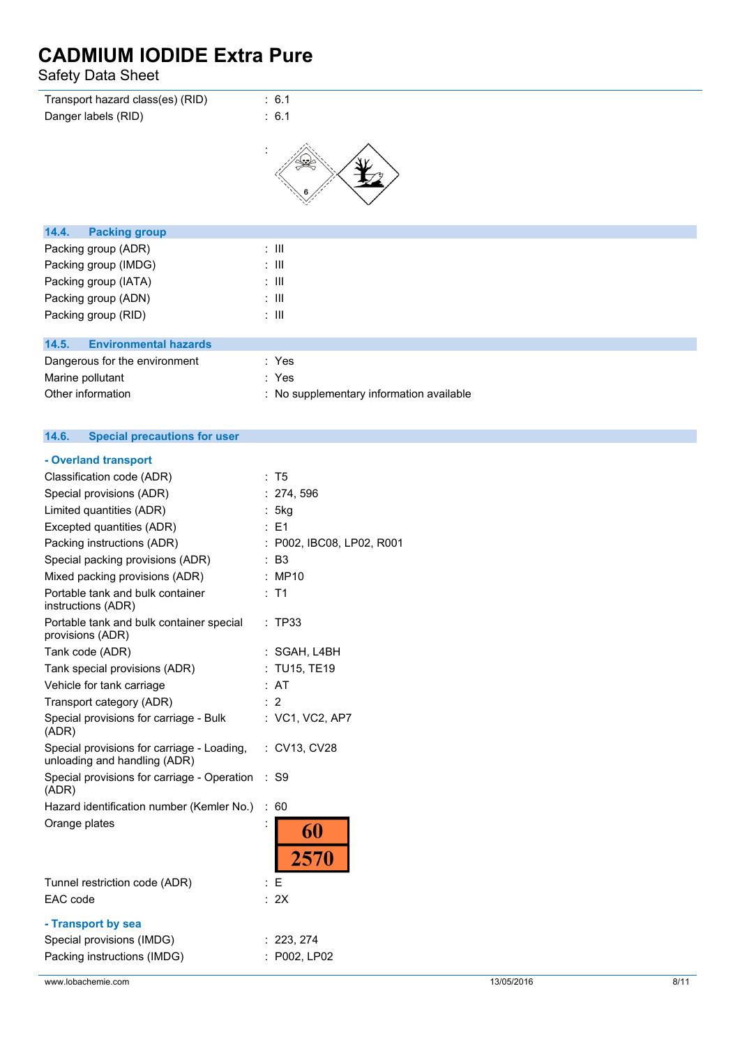Safety Data Sheet

| Transport hazard class(es) (RID)      | : 6.1                                    |
|---------------------------------------|------------------------------------------|
| Danger labels (RID)                   | : 6.1                                    |
|                                       |                                          |
| 14.4.<br><b>Packing group</b>         |                                          |
| Packing group (ADR)                   | $\therefore$ $\mathbf{III}$              |
| Packing group (IMDG)                  | $\therefore$ $\mathbf{III}$              |
| Packing group (IATA)                  | $\therefore$ $\mathbf{III}$              |
| Packing group (ADN)                   | $\therefore$ $\mathbf{III}$              |
| Packing group (RID)                   | $\therefore$ $\mathbf{III}$              |
|                                       |                                          |
| <b>Environmental hazards</b><br>14.5. |                                          |
| Dangerous for the environment         | : Yes                                    |
| Marine pollutant                      | : Yes                                    |
| Other information                     | : No supplementary information available |

#### **14.6. Special precautions for user**

| - Overland transport                                                           |     |                            |
|--------------------------------------------------------------------------------|-----|----------------------------|
| Classification code (ADR)                                                      |     | : T5                       |
| Special provisions (ADR)                                                       |     | 274, 596                   |
| Limited quantities (ADR)                                                       |     | : 5kg                      |
| Excepted quantities (ADR)                                                      |     | $E = 1$                    |
| Packing instructions (ADR)                                                     |     | : P002, IBC08, LP02, R001  |
| Special packing provisions (ADR)                                               |     | : B3                       |
| Mixed packing provisions (ADR)                                                 |     | : MP10                     |
| Portable tank and bulk container<br>instructions (ADR)                         |     | $:$ T1                     |
| Portable tank and bulk container special<br>provisions (ADR)                   |     | : TP33                     |
| Tank code (ADR)                                                                |     | : SGAH, L4BH               |
| Tank special provisions (ADR)                                                  |     | : TU15, TE19               |
| Vehicle for tank carriage                                                      |     | : AT                       |
| Transport category (ADR)                                                       | : 2 |                            |
| Special provisions for carriage - Bulk<br>(ADR)                                |     | : VC1, VC2, AP7            |
| Special provisions for carriage - Loading,<br>unloading and handling (ADR)     |     | : CV13, CV28               |
| Special provisions for carriage - Operation<br>(ADR)                           |     | $:$ S9                     |
| Hazard identification number (Kemler No.)                                      | ÷.  | 60                         |
| Orange plates                                                                  |     | 60<br>2570                 |
|                                                                                |     |                            |
| Tunnel restriction code (ADR)<br>EAC code                                      | : E | : 2X                       |
| - Transport by sea<br>Special provisions (IMDG)<br>Packing instructions (IMDG) |     | : 223, 274<br>: P002, LP02 |
|                                                                                |     |                            |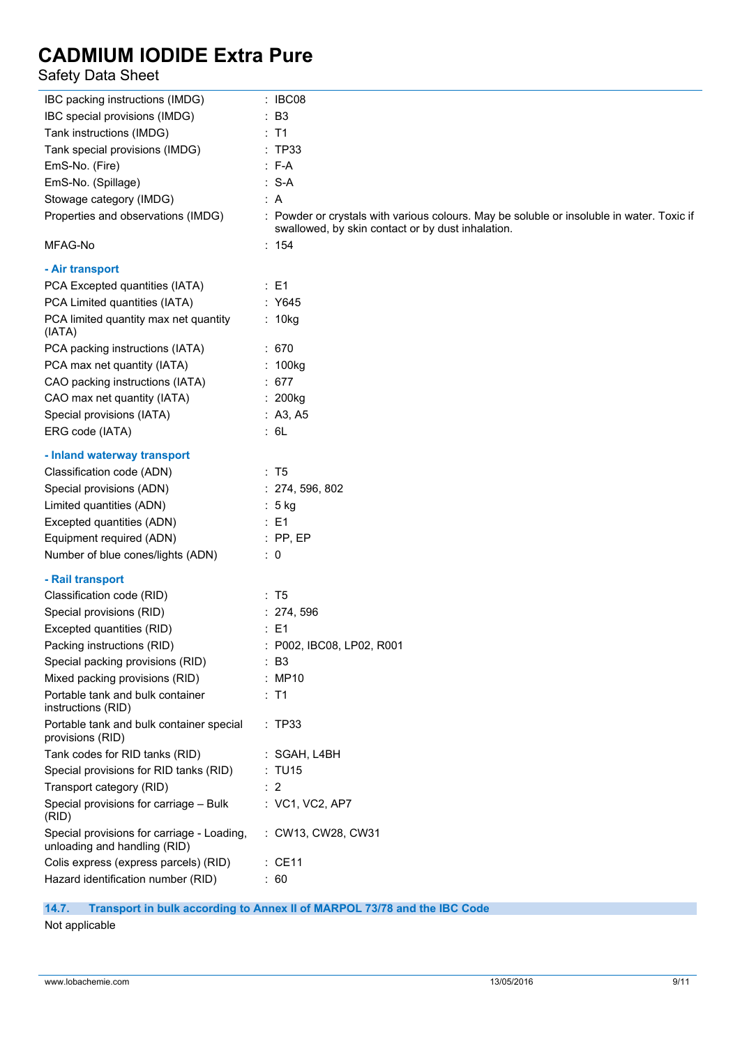# Safety Data Sheet

| IBC packing instructions (IMDG)                                            | : IBC08                                                                                                                                        |
|----------------------------------------------------------------------------|------------------------------------------------------------------------------------------------------------------------------------------------|
| IBC special provisions (IMDG)                                              | : B3                                                                                                                                           |
| Tank instructions (IMDG)                                                   | $:$ T1                                                                                                                                         |
| Tank special provisions (IMDG)                                             | : TP33                                                                                                                                         |
| EmS-No. (Fire)                                                             | $: F-A$                                                                                                                                        |
| EmS-No. (Spillage)                                                         | $: S-A$                                                                                                                                        |
| Stowage category (IMDG)                                                    | : A                                                                                                                                            |
| Properties and observations (IMDG)                                         | : Powder or crystals with various colours. May be soluble or insoluble in water. Toxic if<br>swallowed, by skin contact or by dust inhalation. |
| MFAG-No                                                                    | : 154                                                                                                                                          |
| - Air transport                                                            |                                                                                                                                                |
| PCA Excepted quantities (IATA)                                             | $\therefore$ E1                                                                                                                                |
| PCA Limited quantities (IATA)                                              | : Y645                                                                                                                                         |
| PCA limited quantity max net quantity<br>(IATA)                            | : 10kg                                                                                                                                         |
| PCA packing instructions (IATA)                                            | :670                                                                                                                                           |
| PCA max net quantity (IATA)                                                | : 100kg                                                                                                                                        |
| CAO packing instructions (IATA)                                            | : 677                                                                                                                                          |
| CAO max net quantity (IATA)                                                | $: 200$ kg                                                                                                                                     |
| Special provisions (IATA)                                                  | : A3, A5                                                                                                                                       |
| ERG code (IATA)                                                            | : 6L                                                                                                                                           |
| - Inland waterway transport                                                |                                                                                                                                                |
| Classification code (ADN)                                                  | : T5                                                                                                                                           |
| Special provisions (ADN)                                                   | : 274, 596, 802                                                                                                                                |
| Limited quantities (ADN)                                                   | $: 5$ kg                                                                                                                                       |
| Excepted quantities (ADN)                                                  | $\therefore$ E1                                                                                                                                |
| Equipment required (ADN)                                                   | $:$ PP, EP                                                                                                                                     |
| Number of blue cones/lights (ADN)                                          | $\therefore$ 0                                                                                                                                 |
| - Rail transport                                                           |                                                                                                                                                |
| Classification code (RID)                                                  | : T5                                                                                                                                           |
| Special provisions (RID)                                                   | : 274, 596                                                                                                                                     |
| Excepted quantities (RID)                                                  | $\therefore$ E1                                                                                                                                |
| Packing instructions (RID)                                                 | : P002, IBC08, LP02, R001                                                                                                                      |
| Special packing provisions (RID)                                           | $\therefore$ B3                                                                                                                                |
| Mixed packing provisions (RID)                                             | : MP10                                                                                                                                         |
| Portable tank and bulk container<br>instructions (RID)                     | $:$ T1                                                                                                                                         |
| Portable tank and bulk container special<br>provisions (RID)               | :TP33                                                                                                                                          |
| Tank codes for RID tanks (RID)                                             | : SGAH, L4BH                                                                                                                                   |
| Special provisions for RID tanks (RID)                                     | : TU15                                                                                                                                         |
| Transport category (RID)                                                   | $\therefore$ 2                                                                                                                                 |
| Special provisions for carriage - Bulk<br>(RID)                            | : VC1, VC2, AP7                                                                                                                                |
| Special provisions for carriage - Loading,<br>unloading and handling (RID) | : CW13, CW28, CW31                                                                                                                             |
| Colis express (express parcels) (RID)                                      | $:$ CE11                                                                                                                                       |
| Hazard identification number (RID)                                         | : 60                                                                                                                                           |
|                                                                            |                                                                                                                                                |

# **14.7. Transport in bulk according to Annex II of MARPOL 73/78 and the IBC Code**

Not applicable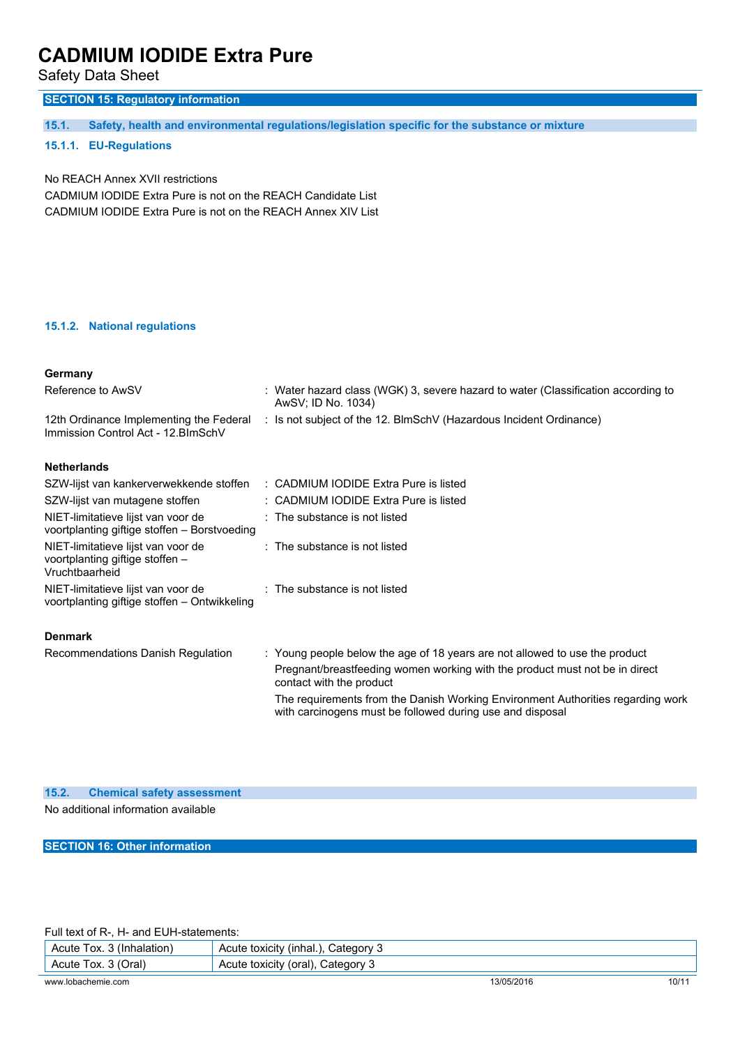Safety Data Sheet

# **SECTION 15: Regulatory information**

**15.1. Safety, health and environmental regulations/legislation specific for the substance or mixture**

### **15.1.1. EU-Regulations**

No REACH Annex XVII restrictions CADMIUM IODIDE Extra Pure is not on the REACH Candidate List CADMIUM IODIDE Extra Pure is not on the REACH Annex XIV List

### **15.1.2. National regulations**

| Germany                                                                                 |  |                                                                                                                                              |  |
|-----------------------------------------------------------------------------------------|--|----------------------------------------------------------------------------------------------------------------------------------------------|--|
| Reference to AwSV                                                                       |  | : Water hazard class (WGK) 3, severe hazard to water (Classification according to<br>AwSV; ID No. 1034)                                      |  |
| 12th Ordinance Implementing the Federal<br>Immission Control Act - 12. BlmSchV          |  | : Is not subject of the 12. BlmSchV (Hazardous Incident Ordinance)                                                                           |  |
| <b>Netherlands</b>                                                                      |  |                                                                                                                                              |  |
| SZW-lijst van kankerverwekkende stoffen                                                 |  | : CADMIUM IODIDE Extra Pure is listed                                                                                                        |  |
| SZW-lijst van mutagene stoffen                                                          |  | : CADMIUM IODIDE Extra Pure is listed                                                                                                        |  |
| NIET-limitatieve lijst van voor de<br>voortplanting giftige stoffen - Borstvoeding      |  | : The substance is not listed                                                                                                                |  |
| NIET-limitatieve lijst van voor de<br>voortplanting giftige stoffen -<br>Vruchtbaarheid |  | : The substance is not listed                                                                                                                |  |
| NIET-limitatieve lijst van voor de<br>voortplanting giftige stoffen - Ontwikkeling      |  | $\therefore$ The substance is not listed                                                                                                     |  |
| <b>Denmark</b>                                                                          |  |                                                                                                                                              |  |
| Recommendations Danish Regulation                                                       |  | : Young people below the age of 18 years are not allowed to use the product                                                                  |  |
|                                                                                         |  | Pregnant/breastfeeding women working with the product must not be in direct<br>contact with the product                                      |  |
|                                                                                         |  | The requirements from the Danish Working Environment Authorities regarding work<br>with carcinogens must be followed during use and disposal |  |

### **15.2. Chemical safety assessment**

No additional information available

**SECTION 16: Other information**

Full text of R-, H- and EUH-statements:

| Acute Tox. 3 (Inhalation) | Acute toxicity (inhal.), Category 3 |            |       |
|---------------------------|-------------------------------------|------------|-------|
| Acute Tox. 3 (Oral)       | Acute toxicity (oral), Category 3   |            |       |
| www.lobachemie.com        |                                     | 13/05/2016 | 10/11 |